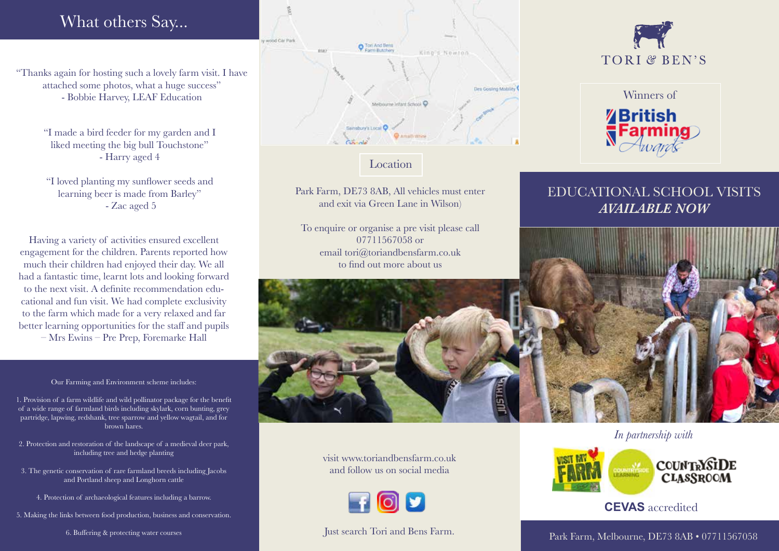# What others Say...

"Thanks again for hosting such a lovely farm visit. I have attached some photos, what a huge success" - Bobbie Harvey, LEAF Education

> "I made a bird feeder for my garden and I liked meeting the big bull Touchstone" - Harry aged 4

"I loved planting my sunflower seeds and learning beer is made from Barley" - Zac aged 5

Having a variety of activities ensured excellent engagement for the children. Parents reported how much their children had enjoyed their day. We all had a fantastic time, learnt lots and looking forward to the next visit. A definite recommendation educational and fun visit. We had complete exclusivity to the farm which made for a very relaxed and far better learning opportunities for the staff and pupils – Mrs Ewins – Pre Prep, Foremarke Hall

#### Our Farming and Environment scheme includes:

1. Provision of a farm wildlife and wild pollinator package for the benefit of a wide range of farmland birds including skylark, corn bunting, grey partridge, lapwing, redshank, tree sparrow and yellow wagtail, and for brown hares.

- 2. Protection and restoration of the landscape of a medieval deer park, including tree and hedge planting
- 3. The genetic conservation of rare farmland breeds including Jacobs and Portland sheep and Longhorn cattle
	- 4. Protection of archaeological features including a barrow.

5. Making the links between food production, business and conservation.

6. Buffering & protecting water courses



### Location

Park Farm, DE73 8AB, All vehicles must enter and exit via Green Lane in Wilson)

To enquire or organise a pre visit please call 07711567058 or email tori@toriandbensfarm.co.uk to find out more about us



visit www.toriandbensfarm.co.uk and follow us on social media



### Just search Tori and Bens Farm.





## EDUCATIONAL SCHOOL VISITS *AVAILABLE NOW*

*In partnership with* 



**CEVAS** accredited